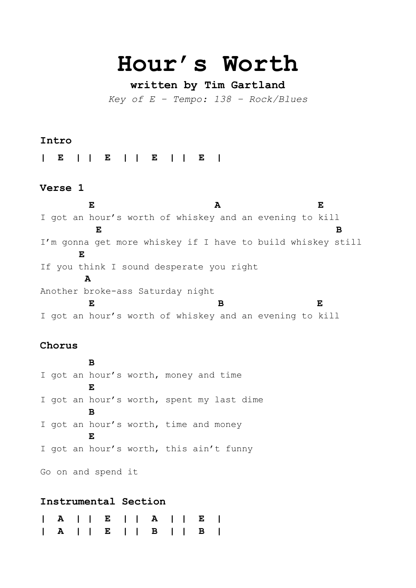# **Hour's Worth**

# **written by Tim Gartland**

*Key of E – Tempo: 138 – Rock/Blues*

## **Intro**

**| E | | E | | E | | E |**

#### **Verse 1**

 **E A E**  I got an hour's worth of whiskey and an evening to kill  **E B** I'm gonna get more whiskey if I have to build whiskey still **E**  If you think I sound desperate you right **A** Another broke-ass Saturday night  **E B E** I got an hour's worth of whiskey and an evening to kill

## **Chorus**

**B** I got an hour's worth, money and time **E** I got an hour's worth, spent my last dime **B** I got an hour's worth, time and money **E** I got an hour's worth, this ain't funny

Go on and spend it

# **Instrumental Section**

|  |  |  |  |  | A     E     B     B |  |
|--|--|--|--|--|---------------------|--|